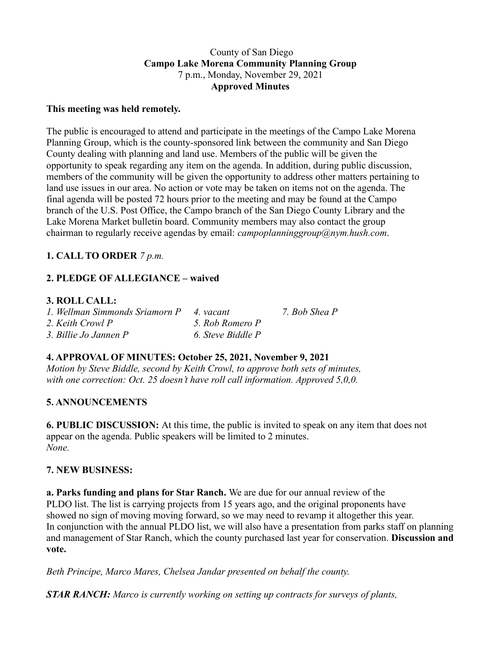#### County of San Diego **Campo Lake Morena Community Planning Group** 7 p.m., Monday, November 29, 2021 **Approved Minutes**

#### **This meeting was held remotely.**

The public is encouraged to attend and participate in the meetings of the Campo Lake Morena Planning Group, which is the county-sponsored link between the community and San Diego County dealing with planning and land use. Members of the public will be given the opportunity to speak regarding any item on the agenda. In addition, during public discussion, members of the community will be given the opportunity to address other matters pertaining to land use issues in our area. No action or vote may be taken on items not on the agenda. The final agenda will be posted 72 hours prior to the meeting and may be found at the Campo branch of the U.S. Post Office, the Campo branch of the San Diego County Library and the Lake Morena Market bulletin board. Community members may also contact the group chairman to regularly receive agendas by email: *campoplanninggroup@nym.hush.com*.

## **1. CALL TO ORDER** *7 p.m.*

# **2. PLEDGE OF ALLEGIANCE – waived**

#### **3. ROLL CALL:**

| 1. Wellman Simmonds Sriamorn P | 4. vacant         | 7. Bob Shea P |
|--------------------------------|-------------------|---------------|
| 2. Keith Crowl P               | 5. Rob Romero P   |               |
| 3. Billie Jo Jannen P          | 6. Steve Biddle P |               |

# **4. APPROVAL OF MINUTES: October 25, 2021, November 9, 2021**

*Motion by Steve Biddle, second by Keith Crowl, to approve both sets of minutes, with one correction: Oct. 25 doesn't have roll call information. Approved 5,0,0.*

## **5. ANNOUNCEMENTS**

**6. PUBLIC DISCUSSION:** At this time, the public is invited to speak on any item that does not appear on the agenda. Public speakers will be limited to 2 minutes. *None.*

## **7. NEW BUSINESS:**

**a. Parks funding and plans for Star Ranch.** We are due for our annual review of the PLDO list. The list is carrying projects from 15 years ago, and the original proponents have showed no sign of moving moving forward, so we may need to revamp it altogether this year. In conjunction with the annual PLDO list, we will also have a presentation from parks staff on planning and management of Star Ranch, which the county purchased last year for conservation. **Discussion and vote.**

*Beth Principe, Marco Mares, Chelsea Jandar presented on behalf the county.*

*STAR RANCH: Marco is currently working on setting up contracts for surveys of plants,*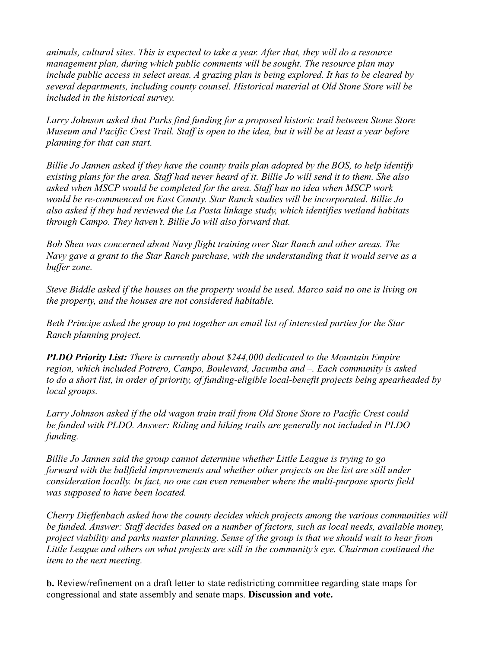*animals, cultural sites. This is expected to take a year. After that, they will do a resource management plan, during which public comments will be sought. The resource plan may include public access in select areas. A grazing plan is being explored. It has to be cleared by several departments, including county counsel. Historical material at Old Stone Store will be included in the historical survey.*

*Larry Johnson asked that Parks find funding for a proposed historic trail between Stone Store* Museum and Pacific Crest Trail. Staff is open to the idea, but it will be at least a vear before *planning for that can start.*

*Billie Jo Jannen asked if they have the county trails plan adopted by the BOS, to help identify* existing plans for the area. Staff had never heard of it. Billie Jo will send it to them. She also *asked when MSCP would be completed for the area. Staff has no idea when MSCP work would be re-commenced on East County. Star Ranch studies will be incorporated. Billie Jo also asked if they had reviewed the La Posta linkage study, which identifies wetland habitats through Campo. They haven't. Billie Jo will also forward that.*

*Bob Shea was concerned about Navy flight training over Star Ranch and other areas. The Navy gave a grant to the Star Ranch purchase, with the understanding that it would serve as a buffer zone.*

Steve Biddle asked if the houses on the property would be used. Marco said no one is living on *the property, and the houses are not considered habitable.*

*Beth Principe asked the group to put together an email list of interested parties for the Star Ranch planning project.*

*PLDO Priority List: There is currently about \$244,000 dedicated to the Mountain Empire region, which included Potrero, Campo, Boulevard, Jacumba and –. Each community is asked to do a short list, in order of priority, of funding-eligible local-benefit projects being spearheaded by local groups.*

*Larry Johnson asked if the old wagon train trail from Old Stone Store to Pacific Crest could be funded with PLDO. Answer: Riding and hiking trails are generally not included in PLDO funding.*

*Billie Jo Jannen said the group cannot determine whether Little League is trying to go forward with the ballfield improvements and whether other projects on the list are still under consideration locally. In fact, no one can even remember where the multi-purpose sports field was supposed to have been located.*

*Cherry Dieffenbach asked how the county decides which projects among the various communities will be funded. Answer: Staff decides based on a number of factors, such as local needs, available money,* project viability and parks master planning. Sense of the group is that we should wait to hear from *Little League and others on what projects are still in the community's eye. Chairman continued the item to the next meeting.*

**b.** Review/refinement on a draft letter to state redistricting committee regarding state maps for congressional and state assembly and senate maps. **Discussion and vote.**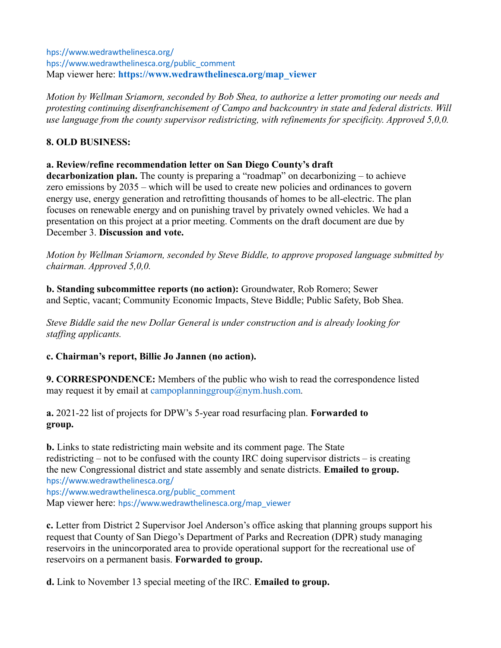hps://www.wedrawthelinesca.org/ hps://www.wedrawthelinesca.org/public\_comment Map viewer here: **https://www.wedrawthelinesca.org/map\_viewer**

*Motion by Wellman Sriamorn, seconded by Bob Shea, to authorize a letter promoting our needs and protesting continuing disenfranchisement of Campo and backcountry in state and federal districts. Will use language from the county supervisor redistricting, with refinements for specificity. Approved 5,0,0.*

## **8. OLD BUSINESS:**

## **a. Review/refine recommendation letter on San Diego County's draft**

**decarbonization plan.** The county is preparing a "roadmap" on decarbonizing – to achieve zero emissions by 2035 – which will be used to create new policies and ordinances to govern energy use, energy generation and retrofitting thousands of homes to be all-electric. The plan focuses on renewable energy and on punishing travel by privately owned vehicles. We had a presentation on this project at a prior meeting. Comments on the draft document are due by December 3. **Discussion and vote.**

*Motion by Wellman Sriamorn, seconded by Steve Biddle, to approve proposed language submitted by chairman. Approved 5,0,0.*

**b. Standing subcommittee reports (no action):** Groundwater, Rob Romero; Sewer and Septic, vacant; Community Economic Impacts, Steve Biddle; Public Safety, Bob Shea.

*Steve Biddle said the new Dollar General is under construction and is already looking for staffing applicants.*

## **c. Chairman's report, Billie Jo Jannen (no action).**

**9. CORRESPONDENCE:** Members of the public who wish to read the correspondence listed may request it by email at campoplanninggroup@nym.hush.com*.*

**a.** 2021-22 list of projects for DPW's 5-year road resurfacing plan. **Forwarded to group.**

**b.** Links to state redistricting main website and its comment page. The State redistricting – not to be confused with the county IRC doing supervisor districts – is creating the new Congressional district and state assembly and senate districts. **Emailed to group.** hps://www.wedrawthelinesca.org/ hps://www.wedrawthelinesca.org/public\_comment Map viewer here: hps://www.wedrawthelinesca.org/map\_viewer

**c.** Letter from District 2 Supervisor Joel Anderson's office asking that planning groups support his request that County of San Diego's Department of Parks and Recreation (DPR) study managing reservoirs in the unincorporated area to provide operational support for the recreational use of reservoirs on a permanent basis. **Forwarded to group.**

**d.** Link to November 13 special meeting of the IRC. **Emailed to group.**